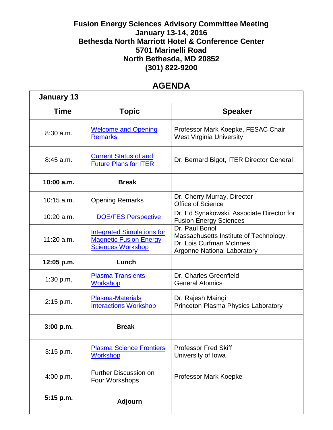## **Fusion Energy Sciences Advisory Committee Meeting January 13-14, 2016 Bethesda North Marriott Hotel & Conference Center 5701 Marinelli Road North Bethesda, MD 20852 (301) 822-9200**

## **AGENDA**

| <b>January 13</b> |                                                                                                |                                                                                                                             |
|-------------------|------------------------------------------------------------------------------------------------|-----------------------------------------------------------------------------------------------------------------------------|
| <b>Time</b>       | <b>Topic</b>                                                                                   | <b>Speaker</b>                                                                                                              |
| $8:30$ a.m.       | <b>Welcome and Opening</b><br><b>Remarks</b>                                                   | Professor Mark Koepke, FESAC Chair<br><b>West Virginia University</b>                                                       |
| $8:45$ a.m.       | <b>Current Status of and</b><br><b>Future Plans for ITER</b>                                   | Dr. Bernard Bigot, ITER Director General                                                                                    |
| 10:00 a.m.        | <b>Break</b>                                                                                   |                                                                                                                             |
| $10:15$ a.m.      | <b>Opening Remarks</b>                                                                         | Dr. Cherry Murray, Director<br>Office of Science                                                                            |
| $10:20$ a.m.      | <b>DOE/FES Perspective</b>                                                                     | Dr. Ed Synakowski, Associate Director for<br><b>Fusion Energy Sciences</b>                                                  |
| $11:20$ a.m.      | <b>Integrated Simulations for</b><br><b>Magnetic Fusion Energy</b><br><b>Sciences Workshop</b> | Dr. Paul Bonoli<br>Massachusetts Institute of Technology,<br>Dr. Lois Curfman McInnes<br><b>Argonne National Laboratory</b> |
| $12:05$ p.m.      | Lunch                                                                                          |                                                                                                                             |
| 1:30 p.m.         | <b>Plasma Transients</b><br><b>Workshop</b>                                                    | Dr. Charles Greenfield<br><b>General Atomics</b>                                                                            |
| 2:15 p.m.         | <b>Plasma-Materials</b><br><b>Interactions Workshop</b>                                        | Dr. Rajesh Maingi<br>Princeton Plasma Physics Laboratory                                                                    |
| 3:00 p.m.         | <b>Break</b>                                                                                   |                                                                                                                             |
| $3:15$ p.m.       | <b>Plasma Science Frontiers</b><br><b>Workshop</b>                                             | <b>Professor Fred Skiff</b><br>University of Iowa                                                                           |
| 4:00 p.m.         | <b>Further Discussion on</b><br>Four Workshops                                                 | Professor Mark Koepke                                                                                                       |
| 5:15 p.m.         | <b>Adjourn</b>                                                                                 |                                                                                                                             |